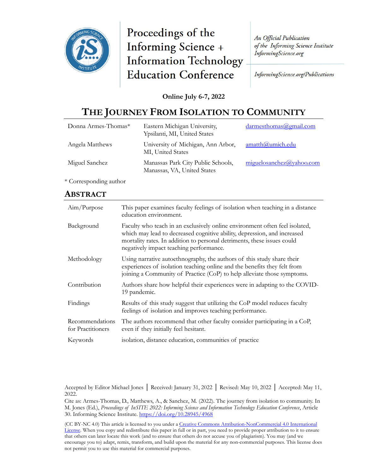

Proceedings of the **Informing Science + Information Technology Education Conference** 

**An Official Publication** of the Informing Science Institute InformingScience.org

InformingScience.org/Publications

### **Online July 6-7, 2022**

# **THE JOURNEY FROM ISOLATION TO COMMUNITY**

| Donna Armes-Thomas* | Eastern Michigan University,<br>Ypsilanti, MI, United States      | $d$ armesthomas@gmail.com |
|---------------------|-------------------------------------------------------------------|---------------------------|
| Angela Matthews     | University of Michigan, Ann Arbor,<br>MI, United States           | amatth@umich.edu          |
| Miguel Sanchez      | Manassas Park City Public Schools,<br>Manassas, VA, United States | miguelosanchez@yahoo.com  |

\* Corresponding author

### **ABSTRACT**

| Aim/Purpose                          | This paper examines faculty feelings of isolation when teaching in a distance<br>education environment.                                                                                                                                                                       |
|--------------------------------------|-------------------------------------------------------------------------------------------------------------------------------------------------------------------------------------------------------------------------------------------------------------------------------|
| Background                           | Faculty who teach in an exclusively online environment often feel isolated,<br>which may lead to decreased cognitive ability, depression, and increased<br>mortality rates. In addition to personal detriments, these issues could<br>negatively impact teaching performance. |
| Methodology                          | Using narrative autoethnography, the authors of this study share their<br>experiences of isolation teaching online and the benefits they felt from<br>joining a Community of Practice (CoP) to help alleviate those symptoms.                                                 |
| Contribution                         | Authors share how helpful their experiences were in adapting to the COVID-<br>19 pandemic.                                                                                                                                                                                    |
| Findings                             | Results of this study suggest that utilizing the CoP model reduces faculty<br>feelings of isolation and improves teaching performance.                                                                                                                                        |
| Recommendations<br>for Practitioners | The authors recommend that other faculty consider participating in a CoP,<br>even if they initially feel hesitant.                                                                                                                                                            |
| Keywords                             | isolation, distance education, communities of practice                                                                                                                                                                                                                        |

Accepted by Editor Michael Jones │ Received: January 31, 2022 │ Revised: May 10, 2022 │ Accepted: May 11, 2022.

Cite as: Armes-Thomas, D., Matthews, A., & Sanchez, M. (2022). The journey from isolation to community. In M. Jones (Ed.), *Proceedings of InSITE 2022: Informing Science and Information Technology Education Conference*, Article 30. Informing Science Institute. <https://doi.org/10.28945/4968>

(CC BY-NC 4.0) This article is licensed to you under a Creative Commons Attribution-[NonCommercial 4.0 International](https://creativecommons.org/licenses/by-nc/4.0/)  [License](https://creativecommons.org/licenses/by-nc/4.0/). When you copy and redistribute this paper in full or in part, you need to provide proper attribution to it to ensure that others can later locate this work (and to ensure that others do not accuse you of plagiarism). You may (and we encourage you to) adapt, remix, transform, and build upon the material for any non-commercial purposes. This license does not permit you to use this material for commercial purposes.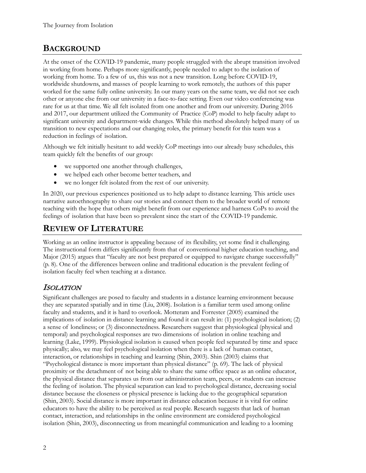## **BACKGROUND**

At the onset of the COVID-19 pandemic, many people struggled with the abrupt transition involved in working from home. Perhaps more significantly, people needed to adapt to the isolation of working from home. To a few of us, this was not a new transition. Long before COVID-19, worldwide shutdowns, and masses of people learning to work remotely, the authors of this paper worked for the same fully online university. In our many years on the same team, we did not see each other or anyone else from our university in a face-to-face setting. Even our video conferencing was rare for us at that time. We all felt isolated from one another and from our university. During 2016 and 2017, our department utilized the Community of Practice (CoP) model to help faculty adapt to significant university and department-wide changes. While this method absolutely helped many of us transition to new expectations and our changing roles, the primary benefit for this team was a reduction in feelings of isolation.

Although we felt initially hesitant to add weekly CoP meetings into our already busy schedules, this team quickly felt the benefits of our group:

- we supported one another through challenges,
- we helped each other become better teachers, and
- we no longer felt isolated from the rest of our university.

In 2020, our previous experiences positioned us to help adapt to distance learning. This article uses narrative autoethnography to share our stories and connect them to the broader world of remote teaching with the hope that others might benefit from our experience and harness CoPs to avoid the feelings of isolation that have been so prevalent since the start of the COVID-19 pandemic.

## **REVIEW OF LITERATURE**

Working as an online instructor is appealing because of its flexibility, yet some find it challenging. The instructional form differs significantly from that of conventional higher education teaching, and Major (2015) argues that "faculty are not best prepared or equipped to navigate change successfully" (p. 8). One of the differences between online and traditional education is the prevalent feeling of isolation faculty feel when teaching at a distance.

### ISOLATION

Significant challenges are posed to faculty and students in a distance learning environment because they are separated spatially and in time (Liu, 2008). Isolation is a familiar term used among online faculty and students, and it is hard to overlook. Motteram and Forrester (2005) examined the implications of isolation in distance learning and found it can result in: (1) psychological isolation; (2) a sense of loneliness; or (3) disconnectedness. Researchers suggest that physiological (physical and temporal) and psychological responses are two dimensions of isolation in online teaching and learning (Lake, 1999). Physiological isolation is caused when people feel separated by time and space physically; also, we may feel psychological isolation when there is a lack of human contact, interaction, or relationships in teaching and learning (Shin, 2003). Shin (2003) claims that "Psychological distance is more important than physical distance" (p. 69). The lack of physical proximity or the detachment of not being able to share the same office space as an online educator, the physical distance that separates us from our administration team, peers, or students can increase the feeling of isolation. The physical separation can lead to psychological distance, decreasing social distance because the closeness or physical presence is lacking due to the geographical separation (Shin, 2003). Social distance is more important in distance education because it is vital for online educators to have the ability to be perceived as real people. Research suggests that lack of human contact, interaction, and relationships in the online environment are considered psychological isolation (Shin, 2003), disconnecting us from meaningful communication and leading to a looming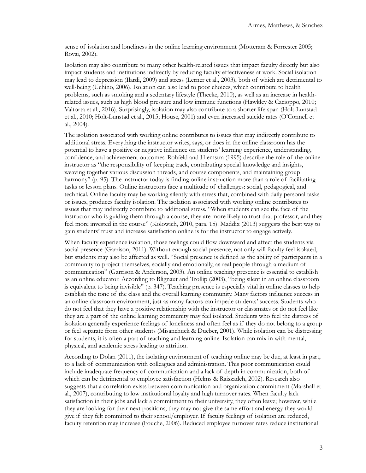sense of isolation and loneliness in the online learning environment (Motteram & Forrester 2005; Rovai, 2002).

Isolation may also contribute to many other health-related issues that impact faculty directly but also impact students and institutions indirectly by reducing faculty effectiveness at work. Social isolation may lead to depression (Ilardi, 2009) and stress (Lerner et al., 2003), both of which are detrimental to well-being (Uchino, 2006). Isolation can also lead to poor choices, which contribute to health problems, such as smoking and a sedentary lifestyle (Theeke, 2010), as well as an increase in healthrelated issues, such as high blood pressure and low immune functions (Hawkley & Cacioppo, 2010; Valtorta et al., 2016). Surprisingly, isolation may also contribute to a shorter life span (Holt-Lunstad et al., 2010; Holt-Lunstad et al., 2015; House, 2001) and even increased suicide rates (O'Connell et al., 2004).

The isolation associated with working online contributes to issues that may indirectly contribute to additional stress. Everything the instructor writes, says, or does in the online classroom has the potential to have a positive or negative influence on students' learning experience, understanding, confidence, and achievement outcomes. Rohfeld and Hiemstra (1995) describe the role of the online instructor as "the responsibility of keeping track, contributing special knowledge and insights, weaving together various discussion threads, and course components, and maintaining group harmony" (p. 95). The instructor today is finding online instruction more than a role of facilitating tasks or lesson plans. Online instructors face a multitude of challenges: social, pedagogical, and technical. Online faculty may be working silently with stress that, combined with daily personal tasks or issues, produces faculty isolation. The isolation associated with working online contributes to issues that may indirectly contribute to additional stress. "When students can see the face of the instructor who is guiding them through a course, they are more likely to trust that professor, and they feel more invested in the course" (Kolowich, 2010, para. 15). Maddix (2013) suggests the best way to gain students' trust and increase satisfaction online is for the instructor to engage actively.

When faculty experience isolation, those feelings could flow downward and affect the students via social presence (Garrison, 2011). Without enough social presence, not only will faculty feel isolated, but students may also be affected as well. "Social presence is defined as the ability of participants in a community to project themselves, socially and emotionally, as real people through a medium of communication" (Garrison & Anderson, 2003). An online teaching presence is essential to establish as an online educator. According to Blignaut and Trollip (2003), "being silent in an online classroom is equivalent to being invisible" (p. 347). Teaching presence is especially vital in online classes to help establish the tone of the class and the overall learning community. Many factors influence success in an online classroom environment, just as many factors can impede students' success. Students who do not feel that they have a positive relationship with the instructor or classmates or do not feel like they are a part of the online learning community may feel isolated. Students who feel the distress of isolation generally experience feelings of loneliness and often feel as if they do not belong to a group or feel separate from other students (Misanchuck & Dueber, 2001). While isolation can be distressing for students, it is often a part of teaching and learning online. Isolation can mix in with mental, physical, and academic stress leading to attrition.

According to Dolan (2011), the isolating environment of teaching online may be due, at least in part, to a lack of communication with colleagues and administration. This poor communication could include inadequate frequency of communication and a lack of depth in communication, both of which can be detrimental to employee satisfaction (Helms & Raiszadeh, 2002). Research also suggests that a correlation exists between communication and organization commitment (Marshall et al., 2007), contributing to low institutional loyalty and high turnover rates. When faculty lack satisfaction in their jobs and lack a commitment to their university, they often leave; however, while they are looking for their next positions, they may not give the same effort and energy they would give if they felt committed to their school/employer. If faculty feelings of isolation are reduced, faculty retention may increase (Fouche, 2006). Reduced employee turnover rates reduce institutional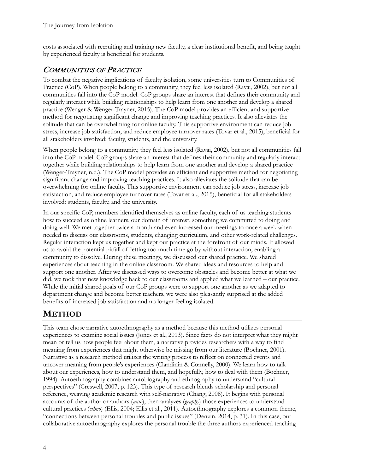costs associated with recruiting and training new faculty, a clear institutional benefit, and being taught by experienced faculty is beneficial for students.

## COMMUNITIES OF PRACTICE

To combat the negative implications of faculty isolation, some universities turn to Communities of Practice (CoP). When people belong to a community, they feel less isolated (Ravai, 2002), but not all communities fall into the CoP model. CoP groups share an interest that defines their community and regularly interact while building relationships to help learn from one another and develop a shared practice (Wenger & Wenger-Trayner, 2015). The CoP model provides an efficient and supportive method for negotiating significant change and improving teaching practices. It also alleviates the solitude that can be overwhelming for online faculty. This supportive environment can reduce job stress, increase job satisfaction, and reduce employee turnover rates (Tovar et al., 2015), beneficial for all stakeholders involved: faculty, students, and the university.

When people belong to a community, they feel less isolated (Ravai, 2002), but not all communities fall into the CoP model. CoP groups share an interest that defines their community and regularly interact together while building relationships to help learn from one another and develop a shared practice (Wenger-Trayner, n.d.). The CoP model provides an efficient and supportive method for negotiating significant change and improving teaching practices. It also alleviates the solitude that can be overwhelming for online faculty. This supportive environment can reduce job stress, increase job satisfaction, and reduce employee turnover rates (Tovar et al., 2015), beneficial for all stakeholders involved: students, faculty, and the university.

In our specific CoP, members identified themselves as online faculty, each of us teaching students how to succeed as online learners, our domain of interest, something we committed to doing and doing well. We met together twice a month and even increased our meetings to once a week when needed to discuss our classrooms, students, changing curriculum, and other work-related challenges. Regular interaction kept us together and kept our practice at the forefront of our minds. It allowed us to avoid the potential pitfall of letting too much time go by without interaction, enabling a community to dissolve. During these meetings, we discussed our shared practice. We shared experiences about teaching in the online classroom. We shared ideas and resources to help and support one another. After we discussed ways to overcome obstacles and become better at what we did, we took that new knowledge back to our classrooms and applied what we learned – our practice. While the initial shared goals of our CoP groups were to support one another as we adapted to department change and become better teachers, we were also pleasantly surprised at the added benefits of increased job satisfaction and no longer feeling isolated.

# **METHOD**

This team chose narrative autoethnography as a method because this method utilizes personal experiences to examine social issues (Jones et al., 2013). Since facts do not interpret what they might mean or tell us how people feel about them, a narrative provides researchers with a way to find meaning from experiences that might otherwise be missing from our literature (Bochner, 2001). Narrative as a research method utilizes the writing process to reflect on connected events and uncover meaning from people's experiences (Clandinin & Connelly, 2000). We learn how to talk about our experiences, how to understand them, and hopefully, how to deal with them (Bochner, 1994). Autoethnography combines autobiography and ethnography to understand "cultural perspectives" (Creswell, 2007, p. 123). This type of research blends scholarship and personal reference, weaving academic research with self-narrative (Chang, 2008). It begins with personal accounts of the author or authors (*auto*), then analyzes (*graphy*) those experiences to understand cultural practices (*ethno*) (Ellis, 2004; Ellis et al., 2011). Autoethnography explores a common theme, "connections between personal troubles and public issues" (Denzin, 2014, p. 31). In this case, our collaborative autoethnography explores the personal trouble the three authors experienced teaching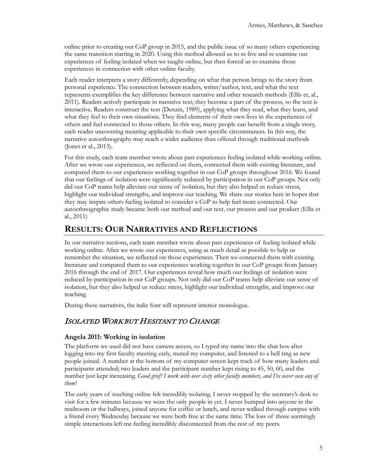online prior to creating our CoP group in 2015, and the public issue of so many others experiencing the same transition starting in 2020. Using this method allowed us to re-live and re-examine our experiences of feeling isolated when we taught online, but then forced us to examine those experiences in connection with other online faculty.

Each reader interprets a story differently, depending on what that person brings to the story from personal experience. The connection between readers, writer/author, text, and what the text represents exemplifies the key difference between narrative and other research methods (Ellis et, al., 2011). Readers actively participate in narrative text; they become a part of the process, so the text is interactive. Readers construct the text (Denzin, 1989), applying what they read, what they learn, and what they feel to their own situations. They find elements of their own lives in the experiences of others and feel connected to those others. In this way, many people can benefit from a single story, each reader uncovering meaning applicable to their own specific circumstances. In this way, the narrative autoethnography may reach a wider audience than offered through traditional methods (Jones et al., 2013).

For this study, each team member wrote about past experiences feeling isolated while working online. After we wrote our experiences, we reflected on them, connected them with existing literature, and compared them to our experiences working together in our CoP groups throughout 2016. We found that our feelings of isolation were significantly reduced by participation in our CoP groups. Not only did our CoP teams help alleviate our sense of isolation, but they also helped us reduce stress, highlight our individual strengths, and improve our teaching. We share our stories here in hopes that they may inspire others feeling isolated to consider a CoP to help feel more connected. Our autoethnographic study became both our method and our text, our process and our product (Ellis et al., 2011)

## **RESULTS: OUR NARRATIVES AND REFLECTIONS**

In our narrative sections, each team member wrote about past experiences of feeling isolated while working online. After we wrote our experiences, using as much detail as possible to help us remember the situation, we reflected on those experiences. Then we connected them with existing literature and compared them to our experiences working together in our CoP groups from January 2016 through the end of 2017. Our experiences reveal how much our feelings of isolation were reduced by participation in our CoP groups. Not only did our CoP teams help alleviate our sense of isolation, but they also helped us reduce stress, highlight our individual strengths, and improve our teaching.

During these narratives, the italic font will represent interior monologue.

## ISOLATED WORK BUT HESITANT TO CHANGE

#### **Angela 2011: Working in isolation**

The platform we used did not have camera access, so I typed my name into the chat box after logging into my first faculty meeting early, muted my computer, and listened to a bell ring as new people joined. A number at the bottom of my computer screen kept track of how many leaders and participants attended; two leaders and the participant number kept rising to 45, 50, 60, and the number just kept increasing. *Good grief! I work with over sixty other faculty members, and I've never seen any of them!* 

The early years of teaching online felt incredibly isolating. I never stopped by the secretary's desk to visit for a few minutes because we were the only people in yet. I never bumped into anyone in the mailroom or the hallways, joined anyone for coffee or lunch, and never walked through campus with a friend every Wednesday because we were both free at the same time. The loss of those seemingly simple interactions left me feeling incredibly disconnected from the rest of my peers.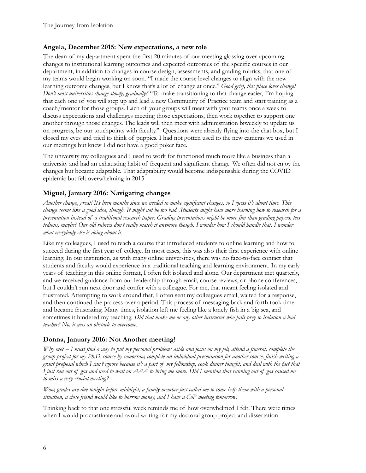#### **Angela, December 2015: New expectations, a new role**

The dean of my department spent the first 20 minutes of our meeting glossing over upcoming changes to institutional learning outcomes and expected outcomes of the specific courses in our department, in addition to changes in course design, assessments, and grading rubrics, that one of my teams would begin working on soon. "I made the course level changes to align with the new learning outcome changes, but I know that's a lot of change at once." *Good grief, this place loves change! Don't most universities change slowly, gradually?* "To make transitioning to that change easier, I'm hoping that each one of you will step up and lead a new Community of Practice team and start training as a coach/mentor for those groups. Each of your groups will meet with your teams once a week to discuss expectations and challenges meeting those expectations, then work together to support one another through those changes. The leads will then meet with administration biweekly to update us on progress, be our touchpoints with faculty." Questions were already flying into the chat box, but I closed my eyes and tried to think of puppies. I had not gotten used to the new cameras we used in our meetings but knew I did not have a good poker face.

The university my colleagues and I used to work for functioned much more like a business than a university and had an exhausting habit of frequent and significant change. We often did not enjoy the changes but became adaptable. That adaptability would become indispensable during the COVID epidemic but felt overwhelming in 2015.

### **Miguel, January 2016: Navigating changes**

*Another change, great! It's been months since we needed to make significant changes, so I guess it's about time. This change seems like a good idea, though. It might not be too bad. Students might have more learning how to research for a presentation instead of a traditional research paper. Grading presentations might be more fun than grading papers, less tedious, maybe? Our old rubrics don't really match it anymore though. I wonder how I should handle that. I wonder what everybody else is doing about it.*

Like my colleagues, I used to teach a course that introduced students to online learning and how to succeed during the first year of college. In most cases, this was also their first experience with online learning. In our institution, as with many online universities, there was no face-to-face contact that students and faculty would experience in a traditional teaching and learning environment. In my early years of teaching in this online format, I often felt isolated and alone. Our department met quarterly, and we received guidance from our leadership through email, course reviews, or phone conferences, but I couldn't run next door and confer with a colleague. For me, that meant feeling isolated and frustrated. Attempting to work around that, I often sent my colleagues email, waited for a response, and then continued the process over a period. This process of messaging back and forth took time and became frustrating. Many times, isolation left me feeling like a lonely fish in a big sea, and sometimes it hindered my teaching. *Did that make me or any other instructor who falls prey to isolation a bad teacher? No, it was an obstacle to overcome.*

#### **Donna, January 2016: Not Another meeting!**

*Why me? – I must find a way to put my personal problems aside and focus on my job, attend a funeral, complete the group project for my Ph.D. course by tomorrow, complete an individual presentation for another course, finish writing a grant proposal which I can't ignore because it's a part of my fellowship, cook dinner tonight, and deal with the fact that I just ran out of gas and need to wait on AAA to bring me more. Did I mention that running out of gas caused me to miss a very crucial meeting?*

*Wow, grades are due tonight before midnight; a family member just called me to come help them with a personal situation, a close friend would like to borrow money, and I have a CoP meeting tomorrow.*

Thinking back to that one stressful week reminds me of how overwhelmed I felt. There were times when I would procrastinate and avoid writing for my doctoral group project and dissertation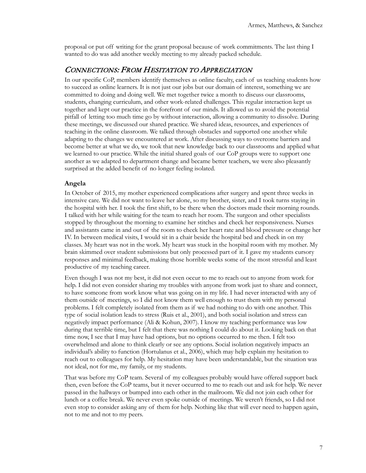proposal or put off writing for the grant proposal because of work commitments. The last thing I wanted to do was add another weekly meeting to my already packed schedule.

### CONNECTIONS: FROM HESITATION TO APPRECIATION

In our specific CoP, members identify themselves as online faculty, each of us teaching students how to succeed as online learners. It is not just our jobs but our domain of interest, something we are committed to doing and doing well. We met together twice a month to discuss our classrooms, students, changing curriculum, and other work-related challenges. This regular interaction kept us together and kept our practice in the forefront of our minds. It allowed us to avoid the potential pitfall of letting too much time go by without interaction, allowing a community to dissolve. During these meetings, we discussed our shared practice. We shared ideas, resources, and experiences of teaching in the online classroom. We talked through obstacles and supported one another while adapting to the changes we encountered at work. After discussing ways to overcome barriers and become better at what we do, we took that new knowledge back to our classrooms and applied what we learned to our practice. While the initial shared goals of our CoP groups were to support one another as we adapted to department change and became better teachers, we were also pleasantly surprised at the added benefit of no longer feeling isolated.

#### **Angela**

In October of 2015, my mother experienced complications after surgery and spent three weeks in intensive care. We did not want to leave her alone, so my brother, sister, and I took turns staying in the hospital with her. I took the first shift, to be there when the doctors made their morning rounds. I talked with her while waiting for the team to reach her room. The surgeon and other specialists stopped by throughout the morning to examine her stitches and check her responsiveness. Nurses and assistants came in and out of the room to check her heart rate and blood pressure or change her IV. In between medical visits, I would sit in a chair beside the hospital bed and check in on my classes. My heart was not in the work. My heart was stuck in the hospital room with my mother. My brain skimmed over student submissions but only processed part of it. I gave my students cursory responses and minimal feedback, making those horrible weeks some of the most stressful and least productive of my teaching career.

Even though I was not my best, it did not even occur to me to reach out to anyone from work for help. I did not even consider sharing my troubles with anyone from work just to share and connect, to have someone from work know what was going on in my life. I had never interacted with any of them outside of meetings, so I did not know them well enough to trust them with my personal problems. I felt completely isolated from them as if we had nothing to do with one another. This type of social isolation leads to stress (Ruis et al., 2001), and both social isolation and stress can negatively impact performance (Ali & Kohun, 2007). I know my teaching performance was low during that terrible time, but I felt that there was nothing I could do about it. Looking back on that time now, I see that I may have had options, but no options occurred to me then. I felt too overwhelmed and alone to think clearly or see any options. Social isolation negatively impacts an individual's ability to function (Hortulanus et al., 2006), which may help explain my hesitation to reach out to colleagues for help. My hesitation may have been understandable, but the situation was not ideal, not for me, my family, or my students.

That was before my CoP team. Several of my colleagues probably would have offered support back then, even before the CoP teams, but it never occurred to me to reach out and ask for help. We never passed in the hallways or bumped into each other in the mailroom. We did not join each other for lunch or a coffee break. We never even spoke outside of meetings. We weren't friends, so I did not even stop to consider asking any of them for help. Nothing like that will ever need to happen again, not to me and not to my peers.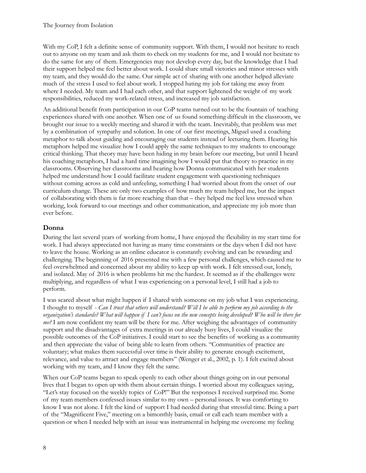With my CoP, I felt a definite sense of community support. With them, I would not hesitate to reach out to anyone on my team and ask them to check on my students for me, and I would not hesitate to do the same for any of them. Emergencies may not develop every day, but the knowledge that I had their support helped me feel better about work. I could share small victories and minor stresses with my team, and they would do the same. Our simple act of sharing with one another helped alleviate much of the stress I used to feel about work. I stopped hating my job for taking me away from where I needed. My team and I had each other, and that support lightened the weight of my work responsibilities, reduced my work-related stress, and increased my job satisfaction.

An additional benefit from participation in our CoP teams turned out to be the fountain of teaching experiences shared with one another. When one of us found something difficult in the classroom, we brought our issue to a weekly meeting and shared it with the team. Inevitably, that problem was met by a combination of sympathy and solution. In one of our first meetings, Miguel used a coaching metaphor to talk about guiding and encouraging our students instead of lecturing them. Hearing his metaphors helped me visualize how I could apply the same techniques to my students to encourage critical thinking. That theory may have been hiding in my brain before our meeting, but until I heard his coaching metaphors, I had a hard time imagining how I would put that theory to practice in my classrooms. Observing her classrooms and hearing how Donna communicated with her students helped me understand how I could facilitate student engagement with questioning techniques without coming across as cold and unfeeling, something I had worried about from the onset of our curriculum change. These are only two examples of how much my team helped me, but the impact of collaborating with them is far more reaching than that – they helped me feel less stressed when working, look forward to our meetings and other communication, and appreciate my job more than ever before.

### **Donna**

During the last several years of working from home, I have enjoyed the flexibility in my start time for work. I had always appreciated not having as many time constraints or the days when I did not have to leave the house. Working as an online educator is constantly evolving and can be rewarding and challenging. The beginning of 2016 presented me with a few personal challenges, which caused me to feel overwhelmed and concerned about my ability to keep up with work. I felt stressed out, lonely, and isolated. May of 2016 is when problems hit me the hardest. It seemed as if the challenges were multiplying, and regardless of what I was experiencing on a personal level, I still had a job to perform.

I was scared about what might happen if I shared with someone on my job what I was experiencing. I thought to myself - *Can I trust that others will understand? Will I be able to perform my job according to the organization's standards? What will happen if I can't focus on the new concepts being developed? Who will be there for me?* I am now confident my team will be there for me. After weighing the advantages of community support and the disadvantages of extra meetings in our already busy lives, I could visualize the possible outcomes of the CoP initiatives. I could start to see the benefits of working as a community and then appreciate the value of being able to learn from others. "Communities of practice are voluntary; what makes them successful over time is their ability to generate enough excitement, relevance, and value to attract and engage members" (Wenger et al., 2002, p. 1). I felt excited about working with my team, and I know they felt the same.

When our CoP teams began to speak openly to each other about things going on in our personal lives that I began to open up with them about certain things. I worried about my colleagues saying, "Let's stay focused on the weekly topics of CoP!" But the responses I received surprised me. Some of my team members confessed issues similar to my own – personal issues. It was comforting to know I was not alone. I felt the kind of support I had needed during that stressful time. Being a part of the "Magnificent Five," meeting on a bimonthly basis, email or call each team member with a question or when I needed help with an issue was instrumental in helping me overcome my feeling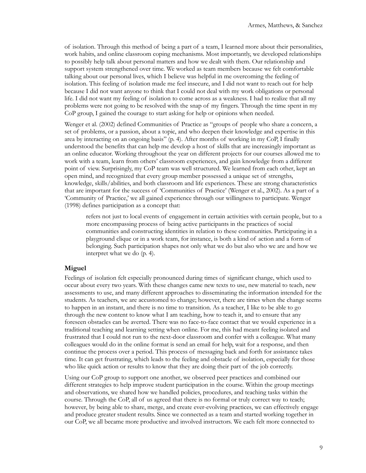of isolation. Through this method of being a part of a team, I learned more about their personalities, work habits, and online classroom coping mechanisms. Most importantly, we developed relationships to possibly help talk about personal matters and how we dealt with them. Our relationship and support system strengthened over time. We worked as team members because we felt comfortable talking about our personal lives, which I believe was helpful in me overcoming the feeling of isolation. This feeling of isolation made me feel insecure, and I did not want to reach out for help because I did not want anyone to think that I could not deal with my work obligations or personal life. I did not want my feeling of isolation to come across as a weakness. I had to realize that all my problems were not going to be resolved with the snap of my fingers. Through the time spent in my CoP group, I gained the courage to start asking for help or opinions when needed.

Wenger et al. (2002) defined Communities of Practice as "groups of people who share a concern, a set of problems, or a passion, about a topic, and who deepen their knowledge and expertise in this area by interacting on an ongoing basis" (p. 4). After months of working in my CoP, I finally understood the benefits that can help me develop a host of skills that are increasingly important as an online educator. Working throughout the year on different projects for our courses allowed me to work with a team, learn from others' classroom experiences, and gain knowledge from a different point of view. Surprisingly, my CoP team was well structured. We learned from each other, kept an open mind, and recognized that every group member possessed a unique set of strengths, knowledge, skills/abilities, and both classroom and life experiences. These are strong characteristics that are important for the success of 'Communities of Practice' (Wenger et al., 2002). As a part of a 'Community of Practice,' we all gained experience through our willingness to participate. Wenger (1998) defines participation as a concept that:

refers not just to local events of engagement in certain activities with certain people, but to a more encompassing process of being active participants in the practices of social communities and constructing identities in relation to these communities. Participating in a playground clique or in a work team, for instance, is both a kind of action and a form of belonging. Such participation shapes not only what we do but also who we are and how we interpret what we do (p. 4).

#### **Miguel**

Feelings of isolation felt especially pronounced during times of significant change, which used to occur about every two years. With these changes came new texts to use, new material to teach, new assessments to use, and many different approaches to disseminating the information intended for the students. As teachers, we are accustomed to change; however, there are times when the change seems to happen in an instant, and there is no time to transition. As a teacher, I like to be able to go through the new content to know what I am teaching, how to teach it, and to ensure that any foreseen obstacles can be averted. There was no face-to-face contact that we would experience in a traditional teaching and learning setting when online. For me, this had meant feeling isolated and frustrated that I could not run to the next-door classroom and confer with a colleague. What many colleagues would do in the online format is send an email for help, wait for a response, and then continue the process over a period. This process of messaging back and forth for assistance takes time. It can get frustrating, which leads to the feeling and obstacle of isolation, especially for those who like quick action or results to know that they are doing their part of the job correctly.

Using our CoP group to support one another, we observed peer practices and combined our different strategies to help improve student participation in the course. Within the group meetings and observations, we shared how we handled policies, procedures, and teaching tasks within the course. Through the CoP, all of us agreed that there is no formal or truly correct way to teach; however, by being able to share, merge, and create ever-evolving practices, we can effectively engage and produce greater student results. Since we connected as a team and started working together in our CoP, we all became more productive and involved instructors. We each felt more connected to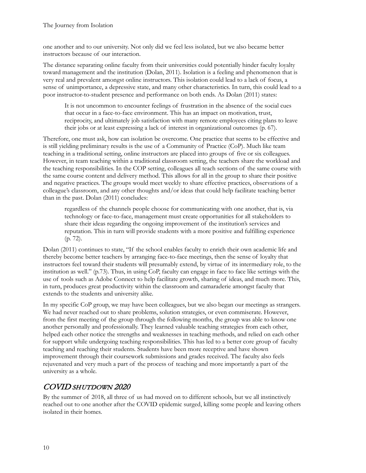one another and to our university. Not only did we feel less isolated, but we also became better instructors because of our interaction.

The distance separating online faculty from their universities could potentially hinder faculty loyalty toward management and the institution (Dolan, 2011). Isolation is a feeling and phenomenon that is very real and prevalent amongst online instructors. This isolation could lead to a lack of focus, a sense of unimportance, a depressive state, and many other characteristics. In turn, this could lead to a poor instructor-to-student presence and performance on both ends. As Dolan (2011) states:

It is not uncommon to encounter feelings of frustration in the absence of the social cues that occur in a face-to-face environment. This has an impact on motivation, trust, reciprocity, and ultimately job satisfaction with many remote employees citing plans to leave their jobs or at least expressing a lack of interest in organizational outcomes (p. 67).

Therefore, one must ask, how can isolation be overcome. One practice that seems to be effective and is still yielding preliminary results is the use of a Community of Practice (CoP). Much like team teaching in a traditional setting, online instructors are placed into groups of five or six colleagues. However, in team teaching within a traditional classroom setting, the teachers share the workload and the teaching responsibilities. In the COP setting, colleagues all teach sections of the same course with the same course content and delivery method. This allows for all in the group to share their positive and negative practices. The groups would meet weekly to share effective practices, observations of a colleague's classroom, and any other thoughts and/or ideas that could help facilitate teaching better than in the past. Dolan (2011) concludes:

regardless of the channels people choose for communicating with one another, that is, via technology or face-to-face, management must create opportunities for all stakeholders to share their ideas regarding the ongoing improvement of the institution's services and reputation. This in turn will provide students with a more positive and fulfilling experience (p. 72).

Dolan (2011) continues to state, "If the school enables faculty to enrich their own academic life and thereby become better teachers by arranging face-to-face meetings, then the sense of loyalty that instructors feel toward their students will presumably extend, by virtue of its intermediary role, to the institution as well." (p.73). Thus, in using CoP, faculty can engage in face to face like settings with the use of tools such as Adobe Connect to help facilitate growth, sharing of ideas, and much more. This, in turn, produces great productivity within the classroom and camaraderie amongst faculty that extends to the students and university alike.

In my specific CoP group, we may have been colleagues, but we also began our meetings as strangers. We had never reached out to share problems, solution strategies, or even commiserate. However, from the first meeting of the group through the following months, the group was able to know one another personally and professionally. They learned valuable teaching strategies from each other, helped each other notice the strengths and weaknesses in teaching methods, and relied on each other for support while undergoing teaching responsibilities. This has led to a better core group of faculty teaching and reaching their students. Students have been more receptive and have shown improvement through their coursework submissions and grades received. The faculty also feels rejuvenated and very much a part of the process of teaching and more importantly a part of the university as a whole.

# COVID SHUTDOWN 2020

By the summer of 2018, all three of us had moved on to different schools, but we all instinctively reached out to one another after the COVID epidemic surged, killing some people and leaving others isolated in their homes.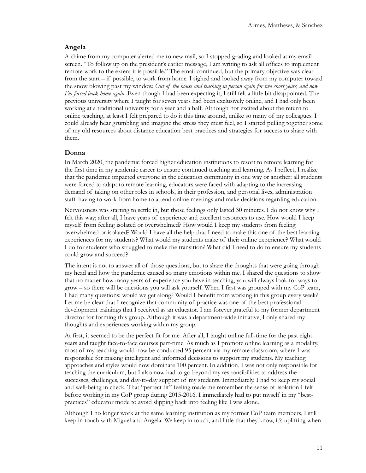#### **Angela**

A chime from my computer alerted me to new mail, so I stopped grading and looked at my email screen. "To follow up on the president's earlier message, I am writing to ask all offices to implement remote work to the extent it is possible." The email continued, but the primary objective was clear from the start – if possible, to work from home. I sighed and looked away from my computer toward the snow blowing past my window. *Out of the house and teaching in person again for two short years, and now I'm forced back home again*. Even though I had been expecting it, I still felt a little bit disappointed. The previous university where I taught for seven years had been exclusively online, and I had only been working at a traditional university for a year and a half. Although not excited about the return to online teaching, at least I felt prepared to do it this time around, unlike so many of my colleagues. I could already hear grumbling and imagine the stress they must feel, so I started pulling together some of my old resources about distance education best practices and strategies for success to share with them.

#### **Donna**

In March 2020, the pandemic forced higher education institutions to resort to remote learning for the first time in my academic career to ensure continued teaching and learning. As I reflect, I realize that the pandemic impacted everyone in the education community in one way or another: all students were forced to adapt to remote learning, educators were faced with adapting to the increasing demand of taking on other roles in schools, in their profession, and personal lives, administration staff having to work from home to attend online meetings and make decisions regarding education.

Nervousness was starting to settle in, but those feelings only lasted 30 minutes. I do not know why I felt this way; after all, I have years of experience and excellent resources to use. How would I keep myself from feeling isolated or overwhelmed? How would I keep my students from feeling overwhelmed or isolated? Would I have all the help that I need to make this one of the best learning experiences for my students? What would my students make of their online experience? What would I do for students who struggled to make the transition? What did I need to do to ensure my students could grow and succeed?

The intent is not to answer all of those questions, but to share the thoughts that were going through my head and how the pandemic caused so many emotions within me. I shared the questions to show that no matter how many years of experience you have in teaching, you will always look for ways to grow – so there will be questions you will ask yourself. When I first was grouped with my CoP team, I had many questions: would we get along? Would I benefit from working in this group every week? Let me be clear that I recognize that community of practice was one of the best professional development trainings that I received as an educator. I am forever grateful to my former department director for forming this group. Although it was a department-wide initiative, I only shared my thoughts and experiences working within my group.

At first, it seemed to be the perfect fit for me. After all, I taught online full-time for the past eight years and taught face-to-face courses part-time. As much as I promote online learning as a modality, most of my teaching would now be conducted 95 percent via my remote classroom, where I was responsible for making intelligent and informed decisions to support my students. My teaching approaches and styles would now dominate 100 percent. In addition, I was not only responsible for teaching the curriculum, but I also now had to go beyond my responsibilities to address the successes, challenges, and day-to-day support of my students. Immediately, I had to keep my social and well-being in check. That "perfect fit" feeling made me remember the sense of isolation I felt before working in my CoP group during 2015-2016. I immediately had to put myself in my "bestpractices" educator mode to avoid slipping back into feeling like I was alone.

Although I no longer work at the same learning institution as my former CoP team members, I still keep in touch with Miguel and Angela. We keep in touch, and little that they know, it's uplifting when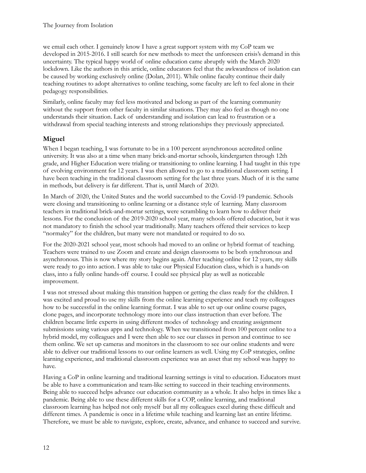we email each other. I genuinely know I have a great support system with my CoP team we developed in 2015-2016. I still search for new methods to meet the unforeseen crisis's demand in this uncertainty. The typical happy world of online education came abruptly with the March 2020 lockdown. Like the authors in this article, online educators feel that the awkwardness of isolation can be caused by working exclusively online (Dolan, 2011). While online faculty continue their daily teaching routines to adopt alternatives to online teaching, some faculty are left to feel alone in their pedagogy responsibilities.

Similarly, online faculty may feel less motivated and belong as part of the learning community without the support from other faculty in similar situations. They may also feel as though no one understands their situation. Lack of understanding and isolation can lead to frustration or a withdrawal from special teaching interests and strong relationships they previously appreciated.

### **Miguel**

When I began teaching, I was fortunate to be in a 100 percent asynchronous accredited online university. It was also at a time when many brick-and-mortar schools, kindergarten through 12th grade, and Higher Education were trialing or transitioning to online learning. I had taught in this type of evolving environment for 12 years. I was then allowed to go to a traditional classroom setting. I have been teaching in the traditional classroom setting for the last three years. Much of it is the same in methods, but delivery is far different. That is, until March of 2020.

In March of 2020, the United States and the world succumbed to the Covid-19 pandemic. Schools were closing and transitioning to online learning or a distance style of learning. Many classroom teachers in traditional brick-and-mortar settings, were scrambling to learn how to deliver their lessons. For the conclusion of the 2019-2020 school year, many schools offered education, but it was not mandatory to finish the school year traditionally. Many teachers offered their services to keep "normalcy" for the children, but many were not mandated or required to do so.

For the 2020-2021 school year, most schools had moved to an online or hybrid format of teaching. Teachers were trained to use Zoom and create and design classrooms to be both synchronous and asynchronous. This is now where my story begins again. After teaching online for 12 years, my skills were ready to go into action. I was able to take our Physical Education class, which is a hands-on class, into a fully online hands-off course. I could see physical play as well as noticeable improvement.

I was not stressed about making this transition happen or getting the class ready for the children. I was excited and proud to use my skills from the online learning experience and teach my colleagues how to be successful in the online learning format. I was able to set up our online course pages, clone pages, and incorporate technology more into our class instruction than ever before. The children became little experts in using different modes of technology and creating assignment submissions using various apps and technology. When we transitioned from 100 percent online to a hybrid model, my colleagues and I were then able to see our classes in person and continue to see them online. We set up cameras and monitors in the classroom to see our online students and were able to deliver our traditional lessons to our online learners as well. Using my CoP strategies, online learning experience, and traditional classroom experience was an asset that my school was happy to have.

Having a CoP in online learning and traditional learning settings is vital to education. Educators must be able to have a communication and team-like setting to succeed in their teaching environments. Being able to succeed helps advance our education community as a whole. It also helps in times like a pandemic. Being able to use these different skills for a COP, online learning, and traditional classroom learning has helped not only myself but all my colleagues excel during these difficult and different times. A pandemic is once in a lifetime while teaching and learning last an entire lifetime. Therefore, we must be able to navigate, explore, create, advance, and enhance to succeed and survive.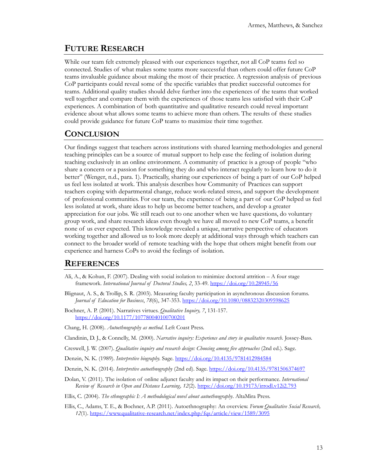## **FUTURE RESEARCH**

While our team felt extremely pleased with our experiences together, not all CoP teams feel so connected. Studies of what makes some teams more successful than others could offer future CoP teams invaluable guidance about making the most of their practice. A regression analysis of previous CoP participants could reveal some of the specific variables that predict successful outcomes for teams. Additional quality studies should delve further into the experiences of the teams that worked well together and compare them with the experiences of those teams less satisfied with their CoP experiences. A combination of both quantitative and qualitative research could reveal important evidence about what allows some teams to achieve more than others. The results of these studies could provide guidance for future CoP teams to maximize their time together.

# **CONCLUSION**

Our findings suggest that teachers across institutions with shared learning methodologies and general teaching principles can be a source of mutual support to help ease the feeling of isolation during teaching exclusively in an online environment. A community of practice is a group of people "who share a concern or a passion for something they do and who interact regularly to learn how to do it better" (Wenger, n.d., para. 1). Practically, sharing our experiences of being a part of our CoP helped us feel less isolated at work. This analysis describes how Community of Practices can support teachers coping with departmental change, reduce work-related stress, and support the development of professional communities. For our team, the experience of being a part of our CoP helped us feel less isolated at work, share ideas to help us become better teachers, and develop a greater appreciation for our jobs. We still reach out to one another when we have questions, do voluntary group work, and share research ideas even though we have all moved to new CoP teams, a benefit none of us ever expected. This knowledge revealed a unique, narrative perspective of educators working together and allowed us to look more deeply at additional ways through which teachers can connect to the broader world of remote teaching with the hope that others might benefit from our experience and harness CoPs to avoid the feelings of isolation.

### **REFERENCES**

- Ali, A., & Kohun, F. (2007). Dealing with social isolation to minimize doctoral attrition A four stage framework. *International Journal of Doctoral Studies, 2*, 33-49.<https://doi.org/10.28945/56>
- Blignaut, A. S., & Trollip, S. R. (2003). Measuring faculty participation in asynchronous discussion forums. *Journal of Education for Business*, *78*(6), 347-353.<https://doi.org/10.1080/08832320309598625>
- Bochner, A. P. (2001). Narratives virtues. *Qualitative Inquiry, 7*, 131-157. <https://doi.org/10.1177/107780040100700201>
- Chang, H. (2008). *Autoethnography as method*. Left Coast Press.
- Clandinin, D. J., & Connelly, M. (2000). *Narrative inquiry: Experience and story in qualitative research.* Jossey-Bass.
- Creswell, J. W. (2007). *Qualitative inquiry and research design: Choosing among five approaches* (2nd ed.). Sage.
- Denzin, N. K. (1989). *Interpretive biography.* Sage. <https://doi.org/10.4135/9781412984584>
- Denzin, N. K. (2014). *Interpretive autoethnography* (2nd ed). Sage. <https://doi.org/10.4135/9781506374697>
- Dolan, V. (2011). The isolation of online adjunct faculty and its impact on their performance. *International Review of Research in Open and Distance Learning, 12*(2). <https://doi.org/10.19173/irrodl.v12i2.793>
- Ellis, C. (2004). *The ethnographic I: A methodological novel about autoethnography*. AltaMira Press.
- Ellis, C., Adams, T. E., & Bochner, A.P. (2011). Autoethnography: An overview. *Forum Qualitative Social Research, 12*(1). https://www.qualitative-[research.net/index.php/fqs/article/view/1589/3095](https://www.qualitative-research.net/index.php/fqs/article/view/1589/3095)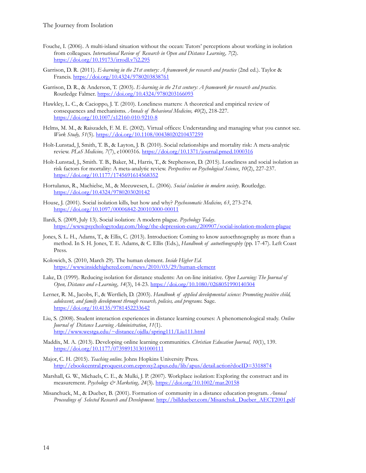- Fouche, I. (2006). A multi-island situation without the ocean: Tutors' perceptions about working in isolation from colleagues. *International Review of Research in Open and Distance Learning, 7*(2). h[ttps://doi.org/10.19173/irrodl.v7i2.295](https://doi.org/10.19173/irrodl.v7i2.295)
- Garrison, D. R. (2011). *E-learning in the 21st century: A framework for research and practice* (2nd ed.). Taylor & Francis. <https://doi.org/10.4324/9780203838761>
- Garrison, D. R., & Anderson, T. (2003). *E-learning in the 21st century: A framework for research and practice.*  Routledge Falmer. <https://doi.org/10.4324/9780203166093>
- Hawkley, L. C., & Cacioppo, J. T. (2010). Loneliness matters: A theoretical and empirical review of consequences and mechanisms. *Annals of Behavioral Medicine, 40*(2), 218-227. [https://doi.org/10.1007/s12160](https://doi.org/10.1007/s12160-010-9210-8)-010-9210-8
- Helms, M. M., & Raiszadeh, F. M. E. (2002). Virtual offices: Understanding and managing what you cannot see. *Work Study, 51*(5)[. https://doi.org/10.1108/00438020210437259](https://doi.org/10.1108/00438020210437259)
- Holt-Lunstad, J, Smith, T. B., & Layton, J. B. (2010). Social relationships and mortality risk: A meta-analytic review. *PLoS Medicine, 7*(7), e1000316. <https://doi.org/10.1371/journal.pmed.1000316>
- Holt-Lunstad, J., Smith. T. B., Baker, M., Harris, T., & Stephenson, D. (2015). Loneliness and social isolation as risk factors for mortality: A meta-analytic review. *Perspectives on Psychological Science*, *10*(2), 227-237. <https://doi.org/10.1177/1745691614568352>
- Hortulanus, R., Machielse, M., & Meeuwesen, L. (2006). *Social isolation in modern society*. Routledge. <https://doi.org/10.4324/9780203020142>
- House, J. (2001). Social isolation kills, but how and why? *Psychosomatic Medicine, 63*, 273-274. [https://doi.org/10.1097/00006842](https://doi.org/10.1097/00006842-200103000-00011)-200103000-00011
- Ilardi, S. (2009, July 13). Social isolation: A modern plague. *Psychology Today*. [https://www.psychologytoday.com/blog/the](https://www.psychologytoday.com/blog/the-depression-cure/200907/social-isolation-modern-plague)-depression-cure/200907/social-isolation-modern-plague
- Jones, S. L. H., Adams, T., & Ellis, C. (2013). Introduction: Coming to know autoethnography as more than a method. In S. H. Jones, T. E. Adams, & C. Ellis (Eds.), *Handbook of autoethnography* (pp. 17-47). Left Coast Press.
- Kolowich, S. (2010, March 29). The human element. *Inside Higher Ed.* [https://www.insidehighered.com/news/2010/03/29/human](https://www.insidehighered.com/news/2010/03/29/lms)-element
- Lake, D. (1999). Reducing isolation for distance students: An on-line initiative. *Open Learning: The Journal of Open, Distance and e-Learning, 14*(3), 14-23. <https://doi.org/10.1080/0268051990140304>
- Lerner, R. M., Jacobs, F., & Wertlieb, D. (2003). *Handbook of applied developmental science: Promoting positive child, adolescent, and family development through research, policies, and programs.* Sage. <https://doi.org/10.4135/9781452233642>
- Liu, S. (2008). Student interaction experiences in distance learning courses: A phenomenological study. *Online Journal of Distance Learning Administration*, *11*(1). [http://www.westga.edu/~distance/ojdla/spring111/Liu111.html](http://www.westga.edu/%7Edistance/ojdla/spring111/Liu111.html)
- Maddix, M. A. (2013). Developing online learning communities. *Christian Education Journal, 10*(1), 139. <https://doi.org/10.1177/073989131301000111>
- Major, C. H. (2015). *Teaching online.* Johns Hopkins University Press. <http://ebookcentral.proquest.com.ezproxy2.apus.edu/lib/apus/detail.action?docID=3318874>
- Marshall, G. W., Michaels, C. E., & Mulki, J. P. (2007). Workplace isolation: Exploring the construct and its measurement. *Psychology & Marketing*, 24(3). <https://doi.org/10.1002/mar.20158>
- Misanchuck, M., & Dueber, B. (2001). Formation of community in a distance education program. *Annual Proceedings of Selected Research and Development.* [http://billdueber.com/Misanchuk\\_Dueber\\_AECT2001.pdf](http://billdueber.com/Misanchuk_Dueber_AECT2001.pdf)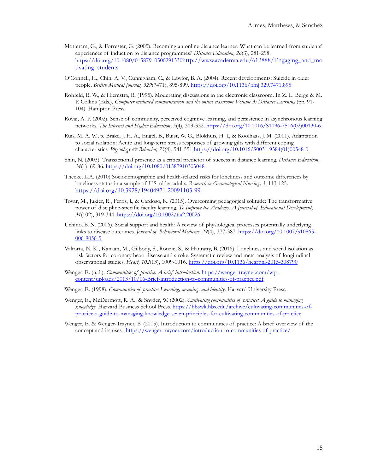- Motteram, G., & Forrester, G. (2005). Becoming an online distance learner: What can be learned from students' experiences of induction to distance programmes? *Distance Education, 26*(3), 281-298. <https://doi.org/10.1080/01587910500291330>http://www.academia.edu/612888/Engaging and mo tivating students
- O'Connell, H., Chin, A. V., Cunnigham, C., & Lawlor, B. A. (2004). Recent developments: Suicide in older people. *British Medical Journal, 329*(7471), 895-899. <https://doi.org/10.1136/bmj.329.7471.895>
- Rohfeld, R. W., & Hiemstra, R. (1995). Moderating discussions in the electronic classroom. In Z. L. Berge & M. P. Collins (Eds.), *Computer mediated communication and the online classroom Volume 3: Distance Learning* (pp. 91- 104). Hampton Press.
- Rovai, A. P. (2002). Sense of community, perceived cognitive learning, and persistence in asynchronous learning networks. *The Internet and Higher Education*, *5*(4), 319-332. [https://doi.org/10.1016/S1096](https://doi.org/10.1016/S1096-7516(02)00130-6)-7516(02)00130-6
- Ruis, M. A. W., te Brake, J. H. A., Engel, B., Buist, W. G., Blokhuis, H. J., & Koolhaas, J. M. (2001). Adaptation to social isolation: Acute and long-term stress responses of growing gilts with different coping characteristics. *Physiology & Behavior, 73*(4), 541-551 [https://doi.org/10.1016/S0031](https://doi.org/10.1016/S0031-9384(01)00548-0)-9384(01)00548-0
- Shin, N. (2003). Transactional presence as a critical predictor of success in distance learning. *Distance Education, 24*(1), 69-86.<https://doi.org/10.1080/01587910303048>
- Theeke, L.A. (2010) Sociodemographic and health-related risks for loneliness and outcome differences by loneliness status in a sample of U.S. older adults. *Research in Gerontological Nursing, 3*, 113-125. [https://doi.org/10.3928/19404921](https://doi.org/10.3928/19404921-20091103-99)-20091103-99
- Tovar, M., Jukier, R., Ferris, J., & Cardoso, K. (2015). Overcoming pedagogical solitude: The transformative power of discipline-specific faculty learning. *To Improve the Academy: A Journal of Educational Development*, *34*(102), 319-344.<https://doi.org/10.1002/tia2.20026>
- Uchino, B. N. (2006). Social support and health: A review of physiological processes potentially underlying links to disease outcomes. *Journal of Behavioral Medicine, 29*(4), 377-387. [https://doi.org/10.1007/s10865](https://doi.org/10.1007/s10865-006-9056-5)- 006-[9056](https://doi.org/10.1007/s10865-006-9056-5)-5
- Valtorta, N. K., Kanaan, M., Gilbody, S., Ronzie, S., & Hanratty, B. (2016). Loneliness and social isolation as risk factors for coronary heart disease and stroke: Systematic review and meta-analysis of longitudinal observational studies. *Heart, 102*(13), 1009-1016[. https://doi.org/10.1136/heartjnl](https://doi.org/10.1136/heartjnl-2015-308790)-2015-308790
- Wenger, E. (n.d.). *Communities of practice: A brief introduction*. https://wenger-[trayner.com/wp](https://wenger-trayner.com/wp-content/uploads/2013/10/06-Brief-introduction-to-communities-of-practice.pdf)content/uploads/2013/10/06[-Brief-introduction-to-communities-of-practice.pdf](https://wenger-trayner.com/wp-content/uploads/2013/10/06-Brief-introduction-to-communities-of-practice.pdf)
- Wenger, E. (1998). *Communities of practice: Learning, meaning, and identity*. Harvard University Press.
- Wenger, E., McDermott, R. A., & Snyder, W. (2002). *Cultivating communities of practice: A guide to managing knowledge*. Harvard Business School Press. [https://hbswk.hbs.edu/archive/cultivating](https://hbswk.hbs.edu/archive/cultivating-communities-of-practice-a-guide-to-managing-knowledge-seven-principles-for-cultivating-communities-of-practice)-communities-of[practice-a-guide-to-managing-knowledge-](https://hbswk.hbs.edu/archive/cultivating-communities-of-practice-a-guide-to-managing-knowledge-seven-principles-for-cultivating-communities-of-practice)seven-principles-for-cultivating-communities-of-practice
- Wenger, E. & Wenger-Trayner, B. (2015). Introduction to communities of practice: A brief overview of the concept and its uses. https://wenger-[trayner.com/introduction](https://wenger-trayner.com/introduction-to-communities-of-practice/)-to-communities-of-practice/